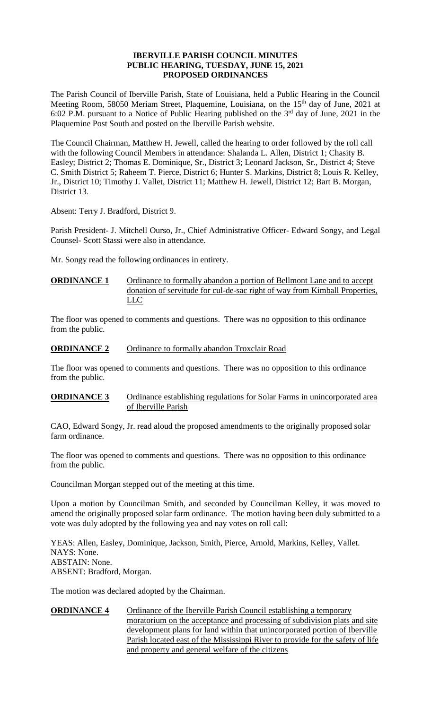### **IBERVILLE PARISH COUNCIL MINUTES PUBLIC HEARING, TUESDAY, JUNE 15, 2021 PROPOSED ORDINANCES**

The Parish Council of Iberville Parish, State of Louisiana, held a Public Hearing in the Council Meeting Room, 58050 Meriam Street, Plaquemine, Louisiana, on the 15<sup>th</sup> day of June, 2021 at 6:02 P.M. pursuant to a Notice of Public Hearing published on the  $3<sup>rd</sup>$  day of June, 2021 in the Plaquemine Post South and posted on the Iberville Parish website.

The Council Chairman, Matthew H. Jewell, called the hearing to order followed by the roll call with the following Council Members in attendance: Shalanda L. Allen, District 1; Chasity B. Easley; District 2; Thomas E. Dominique, Sr., District 3; Leonard Jackson, Sr., District 4; Steve C. Smith District 5; Raheem T. Pierce, District 6; Hunter S. Markins, District 8; Louis R. Kelley, Jr., District 10; Timothy J. Vallet, District 11; Matthew H. Jewell, District 12; Bart B. Morgan, District 13.

Absent: Terry J. Bradford, District 9.

Parish President- J. Mitchell Ourso, Jr., Chief Administrative Officer- Edward Songy, and Legal Counsel- Scott Stassi were also in attendance.

Mr. Songy read the following ordinances in entirety.

### **ORDINANCE 1** Ordinance to formally abandon a portion of Bellmont Lane and to accept donation of servitude for cul-de-sac right of way from Kimball Properties, LLC

The floor was opened to comments and questions. There was no opposition to this ordinance from the public.

### **ORDINANCE 2** Ordinance to formally abandon Troxclair Road

The floor was opened to comments and questions. There was no opposition to this ordinance from the public.

### **ORDINANCE 3** Ordinance establishing regulations for Solar Farms in unincorporated area of Iberville Parish

CAO, Edward Songy, Jr. read aloud the proposed amendments to the originally proposed solar farm ordinance.

The floor was opened to comments and questions. There was no opposition to this ordinance from the public.

Councilman Morgan stepped out of the meeting at this time.

Upon a motion by Councilman Smith, and seconded by Councilman Kelley, it was moved to amend the originally proposed solar farm ordinance. The motion having been duly submitted to a vote was duly adopted by the following yea and nay votes on roll call:

YEAS: Allen, Easley, Dominique, Jackson, Smith, Pierce, Arnold, Markins, Kelley, Vallet. NAYS: None. ABSTAIN: None. ABSENT: Bradford, Morgan.

The motion was declared adopted by the Chairman.

## **ORDINANCE 4** Ordinance of the Iberville Parish Council establishing a temporary moratorium on the acceptance and processing of subdivision plats and site development plans for land within that unincorporated portion of Iberville Parish located east of the Mississippi River to provide for the safety of life and property and general welfare of the citizens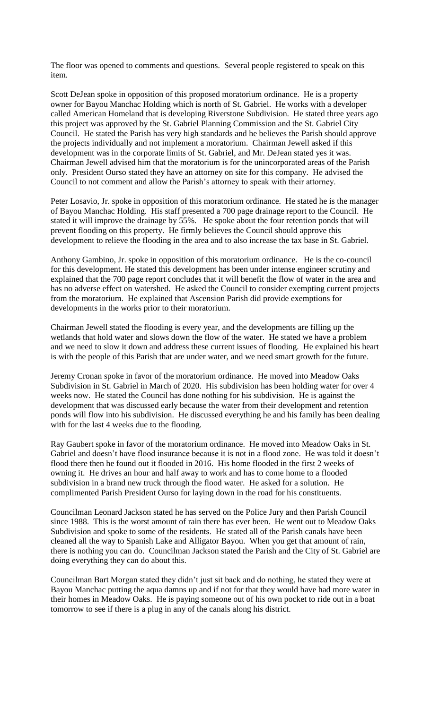The floor was opened to comments and questions. Several people registered to speak on this item.

Scott DeJean spoke in opposition of this proposed moratorium ordinance. He is a property owner for Bayou Manchac Holding which is north of St. Gabriel. He works with a developer called American Homeland that is developing Riverstone Subdivision. He stated three years ago this project was approved by the St. Gabriel Planning Commission and the St. Gabriel City Council. He stated the Parish has very high standards and he believes the Parish should approve the projects individually and not implement a moratorium. Chairman Jewell asked if this development was in the corporate limits of St. Gabriel, and Mr. DeJean stated yes it was. Chairman Jewell advised him that the moratorium is for the unincorporated areas of the Parish only. President Ourso stated they have an attorney on site for this company. He advised the Council to not comment and allow the Parish's attorney to speak with their attorney.

Peter Losavio, Jr. spoke in opposition of this moratorium ordinance. He stated he is the manager of Bayou Manchac Holding. His staff presented a 700 page drainage report to the Council. He stated it will improve the drainage by 55%. He spoke about the four retention ponds that will prevent flooding on this property. He firmly believes the Council should approve this development to relieve the flooding in the area and to also increase the tax base in St. Gabriel.

Anthony Gambino, Jr. spoke in opposition of this moratorium ordinance. He is the co-council for this development. He stated this development has been under intense engineer scrutiny and explained that the 700 page report concludes that it will benefit the flow of water in the area and has no adverse effect on watershed. He asked the Council to consider exempting current projects from the moratorium. He explained that Ascension Parish did provide exemptions for developments in the works prior to their moratorium.

Chairman Jewell stated the flooding is every year, and the developments are filling up the wetlands that hold water and slows down the flow of the water. He stated we have a problem and we need to slow it down and address these current issues of flooding. He explained his heart is with the people of this Parish that are under water, and we need smart growth for the future.

Jeremy Cronan spoke in favor of the moratorium ordinance. He moved into Meadow Oaks Subdivision in St. Gabriel in March of 2020. His subdivision has been holding water for over 4 weeks now. He stated the Council has done nothing for his subdivision. He is against the development that was discussed early because the water from their development and retention ponds will flow into his subdivision. He discussed everything he and his family has been dealing with for the last 4 weeks due to the flooding.

Ray Gaubert spoke in favor of the moratorium ordinance. He moved into Meadow Oaks in St. Gabriel and doesn't have flood insurance because it is not in a flood zone. He was told it doesn't flood there then he found out it flooded in 2016. His home flooded in the first 2 weeks of owning it. He drives an hour and half away to work and has to come home to a flooded subdivision in a brand new truck through the flood water. He asked for a solution. He complimented Parish President Ourso for laying down in the road for his constituents.

Councilman Leonard Jackson stated he has served on the Police Jury and then Parish Council since 1988. This is the worst amount of rain there has ever been. He went out to Meadow Oaks Subdivision and spoke to some of the residents. He stated all of the Parish canals have been cleaned all the way to Spanish Lake and Alligator Bayou. When you get that amount of rain, there is nothing you can do. Councilman Jackson stated the Parish and the City of St. Gabriel are doing everything they can do about this.

Councilman Bart Morgan stated they didn't just sit back and do nothing, he stated they were at Bayou Manchac putting the aqua damns up and if not for that they would have had more water in their homes in Meadow Oaks. He is paying someone out of his own pocket to ride out in a boat tomorrow to see if there is a plug in any of the canals along his district.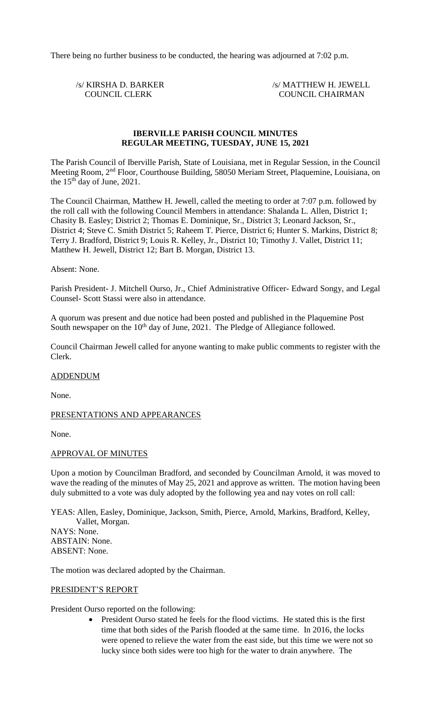There being no further business to be conducted, the hearing was adjourned at 7:02 p.m.

/s/ KIRSHA D. BARKER /s/ MATTHEW H. JEWELL COUNCIL CLERK COUNCIL CHAIRMAN

### **IBERVILLE PARISH COUNCIL MINUTES REGULAR MEETING, TUESDAY, JUNE 15, 2021**

The Parish Council of Iberville Parish, State of Louisiana, met in Regular Session, in the Council Meeting Room, 2nd Floor, Courthouse Building, 58050 Meriam Street, Plaquemine, Louisiana, on the  $15<sup>th</sup>$  day of June, 2021.

The Council Chairman, Matthew H. Jewell, called the meeting to order at 7:07 p.m. followed by the roll call with the following Council Members in attendance: Shalanda L. Allen, District 1; Chasity B. Easley; District 2; Thomas E. Dominique, Sr., District 3; Leonard Jackson, Sr., District 4; Steve C. Smith District 5; Raheem T. Pierce, District 6; Hunter S. Markins, District 8; Terry J. Bradford, District 9; Louis R. Kelley, Jr., District 10; Timothy J. Vallet, District 11; Matthew H. Jewell, District 12; Bart B. Morgan, District 13.

### Absent: None.

Parish President- J. Mitchell Ourso, Jr., Chief Administrative Officer- Edward Songy, and Legal Counsel- Scott Stassi were also in attendance.

A quorum was present and due notice had been posted and published in the Plaquemine Post South newspaper on the  $10<sup>th</sup>$  day of June, 2021. The Pledge of Allegiance followed.

Council Chairman Jewell called for anyone wanting to make public comments to register with the Clerk.

### ADDENDUM

None.

### PRESENTATIONS AND APPEARANCES

None.

#### APPROVAL OF MINUTES

Upon a motion by Councilman Bradford, and seconded by Councilman Arnold, it was moved to wave the reading of the minutes of May 25, 2021 and approve as written. The motion having been duly submitted to a vote was duly adopted by the following yea and nay votes on roll call:

YEAS: Allen, Easley, Dominique, Jackson, Smith, Pierce, Arnold, Markins, Bradford, Kelley, Vallet, Morgan. NAYS: None. ABSTAIN: None. ABSENT: None.

The motion was declared adopted by the Chairman.

#### PRESIDENT'S REPORT

President Ourso reported on the following:

• President Ourso stated he feels for the flood victims. He stated this is the first time that both sides of the Parish flooded at the same time. In 2016, the locks were opened to relieve the water from the east side, but this time we were not so lucky since both sides were too high for the water to drain anywhere. The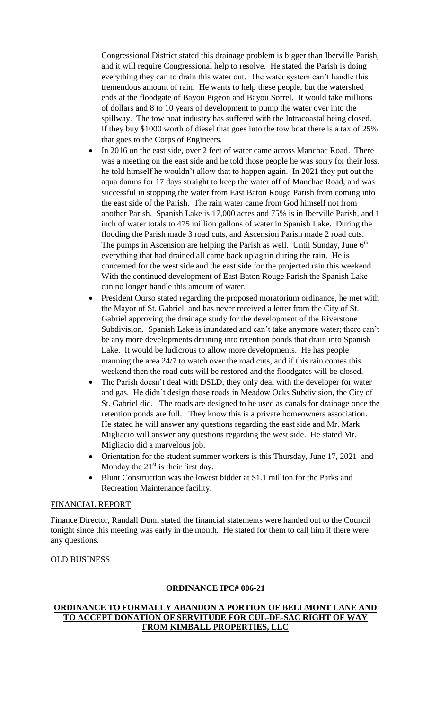Congressional District stated this drainage problem is bigger than Iberville Parish, and it will require Congressional help to resolve. He stated the Parish is doing everything they can to drain this water out. The water system can't handle this tremendous amount of rain. He wants to help these people, but the watershed ends at the floodgate of Bayou Pigeon and Bayou Sorrel. It would take millions of dollars and 8 to 10 years of development to pump the water over into the spillway. The tow boat industry has suffered with the Intracoastal being closed. If they buy \$1000 worth of diesel that goes into the tow boat there is a tax of 25% that goes to the Corps of Engineers.

- In 2016 on the east side, over 2 feet of water came across Manchac Road. There was a meeting on the east side and he told those people he was sorry for their loss, he told himself he wouldn't allow that to happen again. In 2021 they put out the aqua damns for 17 days straight to keep the water off of Manchac Road, and was successful in stopping the water from East Baton Rouge Parish from coming into the east side of the Parish. The rain water came from God himself not from another Parish. Spanish Lake is 17,000 acres and 75% is in Iberville Parish, and 1 inch of water totals to 475 million gallons of water in Spanish Lake. During the flooding the Parish made 3 road cuts, and Ascension Parish made 2 road cuts. The pumps in Ascension are helping the Parish as well. Until Sunday, June  $6<sup>th</sup>$ everything that had drained all came back up again during the rain. He is concerned for the west side and the east side for the projected rain this weekend. With the continued development of East Baton Rouge Parish the Spanish Lake can no longer handle this amount of water.
- President Ourso stated regarding the proposed moratorium ordinance, he met with the Mayor of St. Gabriel, and has never received a letter from the City of St. Gabriel approving the drainage study for the development of the Riverstone Subdivision. Spanish Lake is inundated and can't take anymore water; there can't be any more developments draining into retention ponds that drain into Spanish Lake. It would be ludicrous to allow more developments. He has people manning the area 24/7 to watch over the road cuts, and if this rain comes this weekend then the road cuts will be restored and the floodgates will be closed.
- The Parish doesn't deal with DSLD, they only deal with the developer for water and gas. He didn't design those roads in Meadow Oaks Subdivision, the City of St. Gabriel did. The roads are designed to be used as canals for drainage once the retention ponds are full. They know this is a private homeowners association. He stated he will answer any questions regarding the east side and Mr. Mark Migliacio will answer any questions regarding the west side. He stated Mr. Migliacio did a marvelous job.
- Orientation for the student summer workers is this Thursday, June 17, 2021 and Monday the  $21<sup>st</sup>$  is their first day.
- Blunt Construction was the lowest bidder at \$1.1 million for the Parks and Recreation Maintenance facility.

### FINANCIAL REPORT

Finance Director, Randall Dunn stated the financial statements were handed out to the Council tonight since this meeting was early in the month. He stated for them to call him if there were any questions.

## OLD BUSINESS

### **ORDINANCE IPC# 006-21**

## **ORDINANCE TO FORMALLY ABANDON A PORTION OF BELLMONT LANE AND TO ACCEPT DONATION OF SERVITUDE FOR CUL-DE-SAC RIGHT OF WAY FROM KIMBALL PROPERTIES, LLC**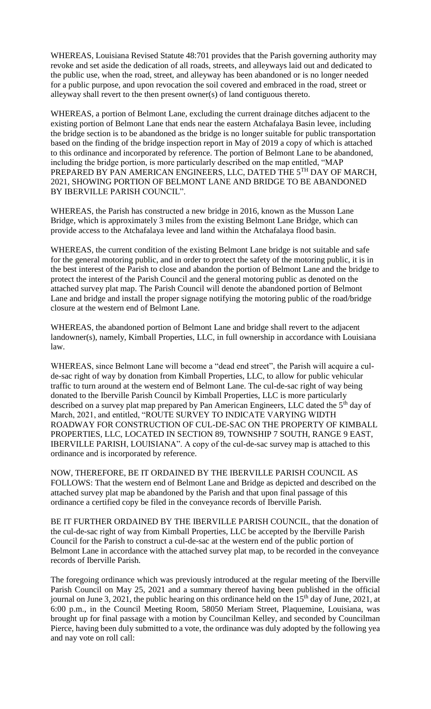WHEREAS, Louisiana Revised Statute 48:701 provides that the Parish governing authority may revoke and set aside the dedication of all roads, streets, and alleyways laid out and dedicated to the public use, when the road, street, and alleyway has been abandoned or is no longer needed for a public purpose, and upon revocation the soil covered and embraced in the road, street or alleyway shall revert to the then present owner(s) of land contiguous thereto.

WHEREAS, a portion of Belmont Lane, excluding the current drainage ditches adjacent to the existing portion of Belmont Lane that ends near the eastern Atchafalaya Basin levee, including the bridge section is to be abandoned as the bridge is no longer suitable for public transportation based on the finding of the bridge inspection report in May of 2019 a copy of which is attached to this ordinance and incorporated by reference. The portion of Belmont Lane to be abandoned, including the bridge portion, is more particularly described on the map entitled, "MAP PREPARED BY PAN AMERICAN ENGINEERS, LLC, DATED THE 5<sup>TH</sup> DAY OF MARCH, 2021, SHOWING PORTION OF BELMONT LANE AND BRIDGE TO BE ABANDONED BY IBERVILLE PARISH COUNCIL".

WHEREAS, the Parish has constructed a new bridge in 2016, known as the Musson Lane Bridge, which is approximately 3 miles from the existing Belmont Lane Bridge, which can provide access to the Atchafalaya levee and land within the Atchafalaya flood basin.

WHEREAS, the current condition of the existing Belmont Lane bridge is not suitable and safe for the general motoring public, and in order to protect the safety of the motoring public, it is in the best interest of the Parish to close and abandon the portion of Belmont Lane and the bridge to protect the interest of the Parish Council and the general motoring public as denoted on the attached survey plat map. The Parish Council will denote the abandoned portion of Belmont Lane and bridge and install the proper signage notifying the motoring public of the road/bridge closure at the western end of Belmont Lane.

WHEREAS, the abandoned portion of Belmont Lane and bridge shall revert to the adjacent landowner(s), namely, Kimball Properties, LLC, in full ownership in accordance with Louisiana law.

WHEREAS, since Belmont Lane will become a "dead end street", the Parish will acquire a culde-sac right of way by donation from Kimball Properties, LLC, to allow for public vehicular traffic to turn around at the western end of Belmont Lane. The cul-de-sac right of way being donated to the Iberville Parish Council by Kimball Properties, LLC is more particularly described on a survey plat map prepared by Pan American Engineers, LLC dated the 5<sup>th</sup> day of March, 2021, and entitled, "ROUTE SURVEY TO INDICATE VARYING WIDTH ROADWAY FOR CONSTRUCTION OF CUL-DE-SAC ON THE PROPERTY OF KIMBALL PROPERTIES, LLC, LOCATED IN SECTION 89, TOWNSHIP 7 SOUTH, RANGE 9 EAST, IBERVILLE PARISH, LOUISIANA". A copy of the cul-de-sac survey map is attached to this ordinance and is incorporated by reference.

NOW, THEREFORE, BE IT ORDAINED BY THE IBERVILLE PARISH COUNCIL AS FOLLOWS: That the western end of Belmont Lane and Bridge as depicted and described on the attached survey plat map be abandoned by the Parish and that upon final passage of this ordinance a certified copy be filed in the conveyance records of Iberville Parish.

BE IT FURTHER ORDAINED BY THE IBERVILLE PARISH COUNCIL, that the donation of the cul-de-sac right of way from Kimball Properties, LLC be accepted by the Iberville Parish Council for the Parish to construct a cul-de-sac at the western end of the public portion of Belmont Lane in accordance with the attached survey plat map, to be recorded in the conveyance records of Iberville Parish.

The foregoing ordinance which was previously introduced at the regular meeting of the Iberville Parish Council on May 25, 2021 and a summary thereof having been published in the official journal on June 3, 2021, the public hearing on this ordinance held on the  $15<sup>th</sup>$  day of June, 2021, at 6:00 p.m., in the Council Meeting Room, 58050 Meriam Street, Plaquemine, Louisiana, was brought up for final passage with a motion by Councilman Kelley, and seconded by Councilman Pierce, having been duly submitted to a vote, the ordinance was duly adopted by the following yea and nay vote on roll call: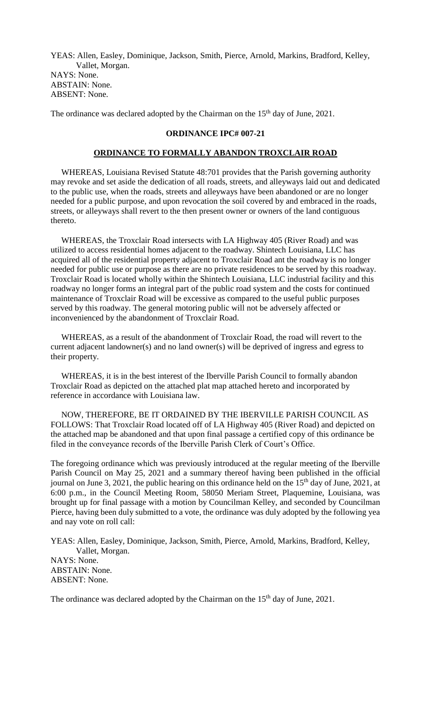YEAS: Allen, Easley, Dominique, Jackson, Smith, Pierce, Arnold, Markins, Bradford, Kelley, Vallet, Morgan.

NAYS: None. ABSTAIN: None. ABSENT: None.

The ordinance was declared adopted by the Chairman on the  $15<sup>th</sup>$  day of June, 2021.

## **ORDINANCE IPC# 007-21**

#### **ORDINANCE TO FORMALLY ABANDON TROXCLAIR ROAD**

 WHEREAS, Louisiana Revised Statute 48:701 provides that the Parish governing authority may revoke and set aside the dedication of all roads, streets, and alleyways laid out and dedicated to the public use, when the roads, streets and alleyways have been abandoned or are no longer needed for a public purpose, and upon revocation the soil covered by and embraced in the roads, streets, or alleyways shall revert to the then present owner or owners of the land contiguous thereto.

 WHEREAS, the Troxclair Road intersects with LA Highway 405 (River Road) and was utilized to access residential homes adjacent to the roadway. Shintech Louisiana, LLC has acquired all of the residential property adjacent to Troxclair Road ant the roadway is no longer needed for public use or purpose as there are no private residences to be served by this roadway. Troxclair Road is located wholly within the Shintech Louisiana, LLC industrial facility and this roadway no longer forms an integral part of the public road system and the costs for continued maintenance of Troxclair Road will be excessive as compared to the useful public purposes served by this roadway. The general motoring public will not be adversely affected or inconvenienced by the abandonment of Troxclair Road.

 WHEREAS, as a result of the abandonment of Troxclair Road, the road will revert to the current adjacent landowner(s) and no land owner(s) will be deprived of ingress and egress to their property.

 WHEREAS, it is in the best interest of the Iberville Parish Council to formally abandon Troxclair Road as depicted on the attached plat map attached hereto and incorporated by reference in accordance with Louisiana law.

 NOW, THEREFORE, BE IT ORDAINED BY THE IBERVILLE PARISH COUNCIL AS FOLLOWS: That Troxclair Road located off of LA Highway 405 (River Road) and depicted on the attached map be abandoned and that upon final passage a certified copy of this ordinance be filed in the conveyance records of the Iberville Parish Clerk of Court's Office.

The foregoing ordinance which was previously introduced at the regular meeting of the Iberville Parish Council on May 25, 2021 and a summary thereof having been published in the official journal on June 3, 2021, the public hearing on this ordinance held on the 15<sup>th</sup> day of June, 2021, at 6:00 p.m., in the Council Meeting Room, 58050 Meriam Street, Plaquemine, Louisiana, was brought up for final passage with a motion by Councilman Kelley, and seconded by Councilman Pierce, having been duly submitted to a vote, the ordinance was duly adopted by the following yea and nay vote on roll call:

YEAS: Allen, Easley, Dominique, Jackson, Smith, Pierce, Arnold, Markins, Bradford, Kelley, Vallet, Morgan. NAYS: None. ABSTAIN: None. ABSENT: None.

The ordinance was declared adopted by the Chairman on the  $15<sup>th</sup>$  day of June, 2021.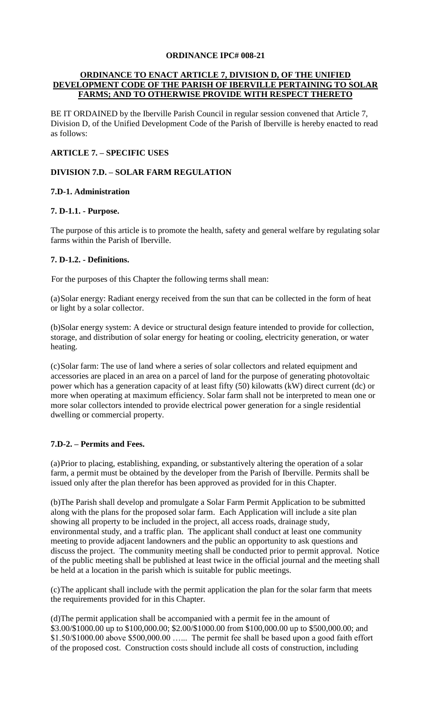## **ORDINANCE IPC# 008-21**

### **ORDINANCE TO ENACT ARTICLE 7, DIVISION D, OF THE UNIFIED DEVELOPMENT CODE OF THE PARISH OF IBERVILLE PERTAINING TO SOLAR FARMS; AND TO OTHERWISE PROVIDE WITH RESPECT THERETO**

BE IT ORDAINED by the Iberville Parish Council in regular session convened that Article 7, Division D, of the Unified Development Code of the Parish of Iberville is hereby enacted to read as follows:

# **ARTICLE 7. – SPECIFIC USES**

# **DIVISION 7.D. – SOLAR FARM REGULATION**

## **7.D-1. Administration**

## **7. D-1.1. - Purpose.**

The purpose of this article is to promote the health, safety and general welfare by regulating solar farms within the Parish of Iberville.

## **7. D-1.2. - Definitions.**

For the purposes of this Chapter the following terms shall mean:

(a)Solar energy: Radiant energy received from the sun that can be collected in the form of heat or light by a solar collector.

(b)Solar energy system: A device or structural design feature intended to provide for collection, storage, and distribution of solar energy for heating or cooling, electricity generation, or water heating.

(c)Solar farm: The use of land where a series of solar collectors and related equipment and accessories are placed in an area on a parcel of land for the purpose of generating photovoltaic power which has a generation capacity of at least fifty (50) kilowatts (kW) direct current (dc) or more when operating at maximum efficiency. Solar farm shall not be interpreted to mean one or more solar collectors intended to provide electrical power generation for a single residential dwelling or commercial property.

### **7.D-2. – Permits and Fees.**

(a)Prior to placing, establishing, expanding, or substantively altering the operation of a solar farm, a permit must be obtained by the developer from the Parish of Iberville. Permits shall be issued only after the plan therefor has been approved as provided for in this Chapter.

(b)The Parish shall develop and promulgate a Solar Farm Permit Application to be submitted along with the plans for the proposed solar farm. Each Application will include a site plan showing all property to be included in the project, all access roads, drainage study, environmental study, and a traffic plan. The applicant shall conduct at least one community meeting to provide adjacent landowners and the public an opportunity to ask questions and discuss the project. The community meeting shall be conducted prior to permit approval. Notice of the public meeting shall be published at least twice in the official journal and the meeting shall be held at a location in the parish which is suitable for public meetings.

(c)The applicant shall include with the permit application the plan for the solar farm that meets the requirements provided for in this Chapter.

(d)The permit application shall be accompanied with a permit fee in the amount of \$3.00/\$1000.00 up to \$100,000.00; \$2.00/\$1000.00 from \$100,000.00 up to \$500,000.00; and \$1.50/\$1000.00 above \$500,000.00 …... The permit fee shall be based upon a good faith effort of the proposed cost. Construction costs should include all costs of construction, including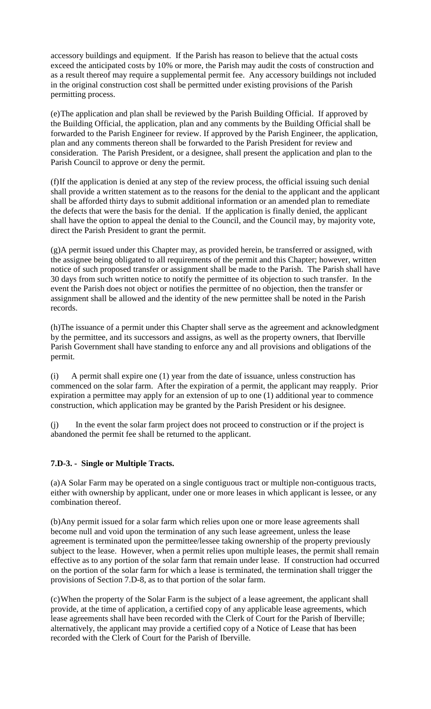accessory buildings and equipment. If the Parish has reason to believe that the actual costs exceed the anticipated costs by 10% or more, the Parish may audit the costs of construction and as a result thereof may require a supplemental permit fee. Any accessory buildings not included in the original construction cost shall be permitted under existing provisions of the Parish permitting process.

(e)The application and plan shall be reviewed by the Parish Building Official. If approved by the Building Official, the application, plan and any comments by the Building Official shall be forwarded to the Parish Engineer for review. If approved by the Parish Engineer, the application, plan and any comments thereon shall be forwarded to the Parish President for review and consideration. The Parish President, or a designee, shall present the application and plan to the Parish Council to approve or deny the permit.

(f)If the application is denied at any step of the review process, the official issuing such denial shall provide a written statement as to the reasons for the denial to the applicant and the applicant shall be afforded thirty days to submit additional information or an amended plan to remediate the defects that were the basis for the denial. If the application is finally denied, the applicant shall have the option to appeal the denial to the Council, and the Council may, by majority vote, direct the Parish President to grant the permit.

(g)A permit issued under this Chapter may, as provided herein, be transferred or assigned, with the assignee being obligated to all requirements of the permit and this Chapter; however, written notice of such proposed transfer or assignment shall be made to the Parish. The Parish shall have 30 days from such written notice to notify the permittee of its objection to such transfer. In the event the Parish does not object or notifies the permittee of no objection, then the transfer or assignment shall be allowed and the identity of the new permittee shall be noted in the Parish records.

(h)The issuance of a permit under this Chapter shall serve as the agreement and acknowledgment by the permittee, and its successors and assigns, as well as the property owners, that Iberville Parish Government shall have standing to enforce any and all provisions and obligations of the permit.

(i) A permit shall expire one (1) year from the date of issuance, unless construction has commenced on the solar farm. After the expiration of a permit, the applicant may reapply. Prior expiration a permittee may apply for an extension of up to one (1) additional year to commence construction, which application may be granted by the Parish President or his designee.

(j) In the event the solar farm project does not proceed to construction or if the project is abandoned the permit fee shall be returned to the applicant.

### **7.D-3. - Single or Multiple Tracts.**

(a)A Solar Farm may be operated on a single contiguous tract or multiple non-contiguous tracts, either with ownership by applicant, under one or more leases in which applicant is lessee, or any combination thereof.

(b)Any permit issued for a solar farm which relies upon one or more lease agreements shall become null and void upon the termination of any such lease agreement, unless the lease agreement is terminated upon the permittee/lessee taking ownership of the property previously subject to the lease. However, when a permit relies upon multiple leases, the permit shall remain effective as to any portion of the solar farm that remain under lease. If construction had occurred on the portion of the solar farm for which a lease is terminated, the termination shall trigger the provisions of Section 7.D-8, as to that portion of the solar farm.

(c)When the property of the Solar Farm is the subject of a lease agreement, the applicant shall provide, at the time of application, a certified copy of any applicable lease agreements, which lease agreements shall have been recorded with the Clerk of Court for the Parish of Iberville; alternatively, the applicant may provide a certified copy of a Notice of Lease that has been recorded with the Clerk of Court for the Parish of Iberville.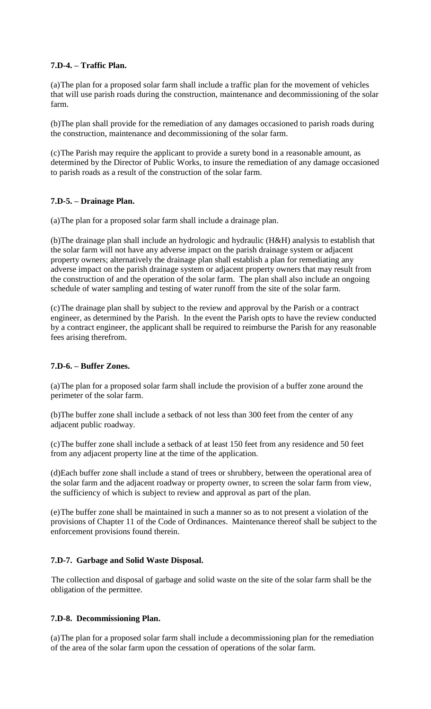# **7.D-4. – Traffic Plan.**

(a)The plan for a proposed solar farm shall include a traffic plan for the movement of vehicles that will use parish roads during the construction, maintenance and decommissioning of the solar farm.

(b)The plan shall provide for the remediation of any damages occasioned to parish roads during the construction, maintenance and decommissioning of the solar farm.

(c)The Parish may require the applicant to provide a surety bond in a reasonable amount, as determined by the Director of Public Works, to insure the remediation of any damage occasioned to parish roads as a result of the construction of the solar farm.

# **7.D-5. – Drainage Plan.**

(a)The plan for a proposed solar farm shall include a drainage plan.

(b)The drainage plan shall include an hydrologic and hydraulic (H&H) analysis to establish that the solar farm will not have any adverse impact on the parish drainage system or adjacent property owners; alternatively the drainage plan shall establish a plan for remediating any adverse impact on the parish drainage system or adjacent property owners that may result from the construction of and the operation of the solar farm. The plan shall also include an ongoing schedule of water sampling and testing of water runoff from the site of the solar farm.

(c)The drainage plan shall by subject to the review and approval by the Parish or a contract engineer, as determined by the Parish. In the event the Parish opts to have the review conducted by a contract engineer, the applicant shall be required to reimburse the Parish for any reasonable fees arising therefrom.

### **7.D-6. – Buffer Zones.**

(a)The plan for a proposed solar farm shall include the provision of a buffer zone around the perimeter of the solar farm.

(b)The buffer zone shall include a setback of not less than 300 feet from the center of any adjacent public roadway.

(c)The buffer zone shall include a setback of at least 150 feet from any residence and 50 feet from any adjacent property line at the time of the application.

(d)Each buffer zone shall include a stand of trees or shrubbery, between the operational area of the solar farm and the adjacent roadway or property owner, to screen the solar farm from view, the sufficiency of which is subject to review and approval as part of the plan.

(e)The buffer zone shall be maintained in such a manner so as to not present a violation of the provisions of Chapter 11 of the Code of Ordinances. Maintenance thereof shall be subject to the enforcement provisions found therein.

### **7.D-7. Garbage and Solid Waste Disposal.**

The collection and disposal of garbage and solid waste on the site of the solar farm shall be the obligation of the permittee.

### **7.D-8. Decommissioning Plan.**

(a)The plan for a proposed solar farm shall include a decommissioning plan for the remediation of the area of the solar farm upon the cessation of operations of the solar farm.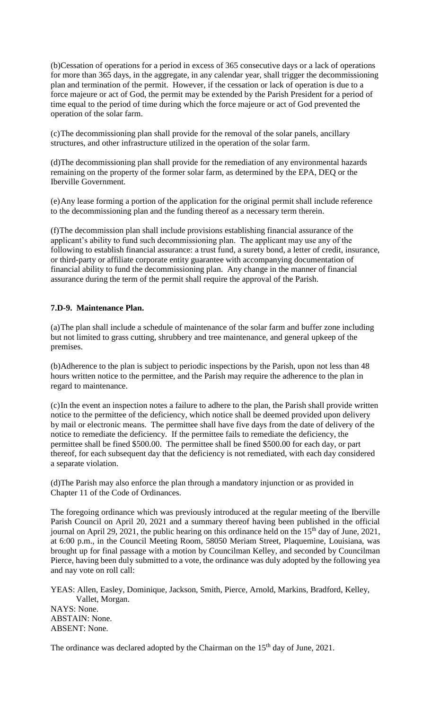(b)Cessation of operations for a period in excess of 365 consecutive days or a lack of operations for more than 365 days, in the aggregate, in any calendar year, shall trigger the decommissioning plan and termination of the permit. However, if the cessation or lack of operation is due to a force majeure or act of God, the permit may be extended by the Parish President for a period of time equal to the period of time during which the force majeure or act of God prevented the operation of the solar farm.

(c)The decommissioning plan shall provide for the removal of the solar panels, ancillary structures, and other infrastructure utilized in the operation of the solar farm.

(d)The decommissioning plan shall provide for the remediation of any environmental hazards remaining on the property of the former solar farm, as determined by the EPA, DEQ or the Iberville Government.

(e)Any lease forming a portion of the application for the original permit shall include reference to the decommissioning plan and the funding thereof as a necessary term therein.

(f)The decommission plan shall include provisions establishing financial assurance of the applicant's ability to fund such decommissioning plan. The applicant may use any of the following to establish financial assurance: a trust fund, a surety bond, a letter of credit, insurance, or third-party or affiliate corporate entity guarantee with accompanying documentation of financial ability to fund the decommissioning plan. Any change in the manner of financial assurance during the term of the permit shall require the approval of the Parish.

## **7.D-9. Maintenance Plan.**

(a)The plan shall include a schedule of maintenance of the solar farm and buffer zone including but not limited to grass cutting, shrubbery and tree maintenance, and general upkeep of the premises.

(b)Adherence to the plan is subject to periodic inspections by the Parish, upon not less than 48 hours written notice to the permittee, and the Parish may require the adherence to the plan in regard to maintenance.

(c)In the event an inspection notes a failure to adhere to the plan, the Parish shall provide written notice to the permittee of the deficiency, which notice shall be deemed provided upon delivery by mail or electronic means. The permittee shall have five days from the date of delivery of the notice to remediate the deficiency. If the permittee fails to remediate the deficiency, the permittee shall be fined \$500.00. The permittee shall be fined \$500.00 for each day, or part thereof, for each subsequent day that the deficiency is not remediated, with each day considered a separate violation.

(d)The Parish may also enforce the plan through a mandatory injunction or as provided in Chapter 11 of the Code of Ordinances.

The foregoing ordinance which was previously introduced at the regular meeting of the Iberville Parish Council on April 20, 2021 and a summary thereof having been published in the official journal on April 29, 2021, the public hearing on this ordinance held on the  $15<sup>th</sup>$  day of June, 2021, at 6:00 p.m., in the Council Meeting Room, 58050 Meriam Street, Plaquemine, Louisiana, was brought up for final passage with a motion by Councilman Kelley, and seconded by Councilman Pierce, having been duly submitted to a vote, the ordinance was duly adopted by the following yea and nay vote on roll call:

YEAS: Allen, Easley, Dominique, Jackson, Smith, Pierce, Arnold, Markins, Bradford, Kelley, Vallet, Morgan. NAYS: None. ABSTAIN: None. ABSENT: None.

The ordinance was declared adopted by the Chairman on the  $15<sup>th</sup>$  day of June, 2021.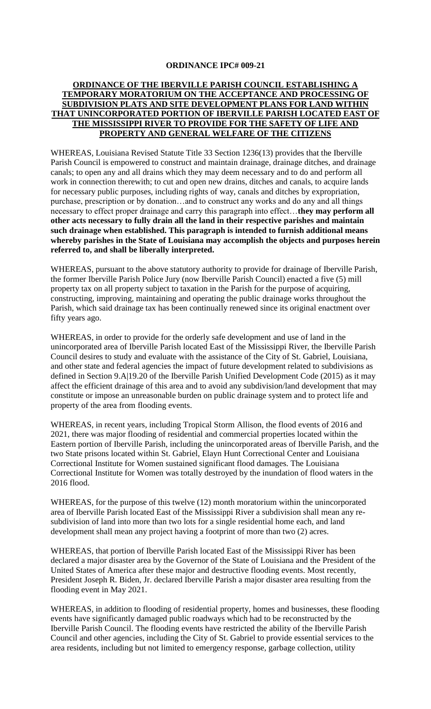### **ORDINANCE IPC# 009-21**

## **ORDINANCE OF THE IBERVILLE PARISH COUNCIL ESTABLISHING A TEMPORARY MORATORIUM ON THE ACCEPTANCE AND PROCESSING OF SUBDIVISION PLATS AND SITE DEVELOPMENT PLANS FOR LAND WITHIN THAT UNINCORPORATED PORTION OF IBERVILLE PARISH LOCATED EAST OF THE MISSISSIPPI RIVER TO PROVIDE FOR THE SAFETY OF LIFE AND PROPERTY AND GENERAL WELFARE OF THE CITIZENS**

WHEREAS, Louisiana Revised Statute Title 33 Section 1236(13) provides that the Iberville Parish Council is empowered to construct and maintain drainage, drainage ditches, and drainage canals; to open any and all drains which they may deem necessary and to do and perform all work in connection therewith; to cut and open new drains, ditches and canals, to acquire lands for necessary public purposes, including rights of way, canals and ditches by expropriation, purchase, prescription or by donation…and to construct any works and do any and all things necessary to effect proper drainage and carry this paragraph into effect…**they may perform all other acts necessary to fully drain all the land in their respective parishes and maintain such drainage when established. This paragraph is intended to furnish additional means whereby parishes in the State of Louisiana may accomplish the objects and purposes herein referred to, and shall be liberally interpreted.**

WHEREAS, pursuant to the above statutory authority to provide for drainage of Iberville Parish, the former Iberville Parish Police Jury (now Iberville Parish Council) enacted a five (5) mill property tax on all property subject to taxation in the Parish for the purpose of acquiring, constructing, improving, maintaining and operating the public drainage works throughout the Parish, which said drainage tax has been continually renewed since its original enactment over fifty years ago.

WHEREAS, in order to provide for the orderly safe development and use of land in the unincorporated area of Iberville Parish located East of the Mississippi River, the Iberville Parish Council desires to study and evaluate with the assistance of the City of St. Gabriel, Louisiana, and other state and federal agencies the impact of future development related to subdivisions as defined in Section 9.A|19.20 of the Iberville Parish Unified Development Code (2015) as it may affect the efficient drainage of this area and to avoid any subdivision/land development that may constitute or impose an unreasonable burden on public drainage system and to protect life and property of the area from flooding events.

WHEREAS, in recent years, including Tropical Storm Allison, the flood events of 2016 and 2021, there was major flooding of residential and commercial properties located within the Eastern portion of Iberville Parish, including the unincorporated areas of Iberville Parish, and the two State prisons located within St. Gabriel, Elayn Hunt Correctional Center and Louisiana Correctional Institute for Women sustained significant flood damages. The Louisiana Correctional Institute for Women was totally destroyed by the inundation of flood waters in the 2016 flood.

WHEREAS, for the purpose of this twelve (12) month moratorium within the unincorporated area of Iberville Parish located East of the Mississippi River a subdivision shall mean any resubdivision of land into more than two lots for a single residential home each, and land development shall mean any project having a footprint of more than two (2) acres.

WHEREAS, that portion of Iberville Parish located East of the Mississippi River has been declared a major disaster area by the Governor of the State of Louisiana and the President of the United States of America after these major and destructive flooding events. Most recently, President Joseph R. Biden, Jr. declared Iberville Parish a major disaster area resulting from the flooding event in May 2021.

WHEREAS, in addition to flooding of residential property, homes and businesses, these flooding events have significantly damaged public roadways which had to be reconstructed by the Iberville Parish Council. The flooding events have restricted the ability of the Iberville Parish Council and other agencies, including the City of St. Gabriel to provide essential services to the area residents, including but not limited to emergency response, garbage collection, utility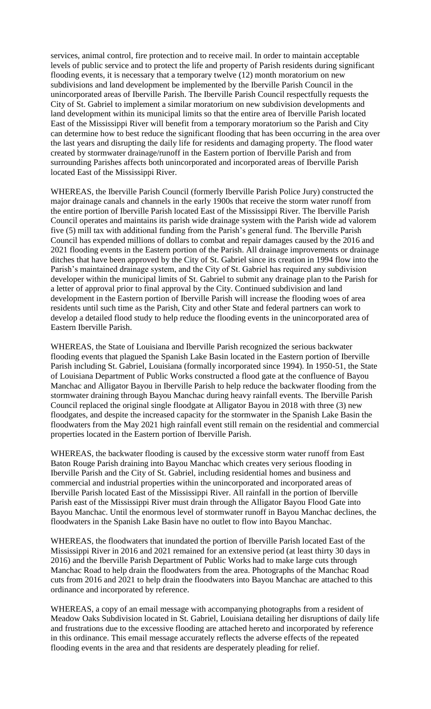services, animal control, fire protection and to receive mail. In order to maintain acceptable levels of public service and to protect the life and property of Parish residents during significant flooding events, it is necessary that a temporary twelve (12) month moratorium on new subdivisions and land development be implemented by the Iberville Parish Council in the unincorporated areas of Iberville Parish. The Iberville Parish Council respectfully requests the City of St. Gabriel to implement a similar moratorium on new subdivision developments and land development within its municipal limits so that the entire area of Iberville Parish located East of the Mississippi River will benefit from a temporary moratorium so the Parish and City can determine how to best reduce the significant flooding that has been occurring in the area over the last years and disrupting the daily life for residents and damaging property. The flood water created by stormwater drainage/runoff in the Eastern portion of Iberville Parish and from surrounding Parishes affects both unincorporated and incorporated areas of Iberville Parish located East of the Mississippi River.

WHEREAS, the Iberville Parish Council (formerly Iberville Parish Police Jury) constructed the major drainage canals and channels in the early 1900s that receive the storm water runoff from the entire portion of Iberville Parish located East of the Mississippi River. The Iberville Parish Council operates and maintains its parish wide drainage system with the Parish wide ad valorem five (5) mill tax with additional funding from the Parish's general fund. The Iberville Parish Council has expended millions of dollars to combat and repair damages caused by the 2016 and 2021 flooding events in the Eastern portion of the Parish. All drainage improvements or drainage ditches that have been approved by the City of St. Gabriel since its creation in 1994 flow into the Parish's maintained drainage system, and the City of St. Gabriel has required any subdivision developer within the municipal limits of St. Gabriel to submit any drainage plan to the Parish for a letter of approval prior to final approval by the City. Continued subdivision and land development in the Eastern portion of Iberville Parish will increase the flooding woes of area residents until such time as the Parish, City and other State and federal partners can work to develop a detailed flood study to help reduce the flooding events in the unincorporated area of Eastern Iberville Parish.

WHEREAS, the State of Louisiana and Iberville Parish recognized the serious backwater flooding events that plagued the Spanish Lake Basin located in the Eastern portion of Iberville Parish including St. Gabriel, Louisiana (formally incorporated since 1994). In 1950-51, the State of Louisiana Department of Public Works constructed a flood gate at the confluence of Bayou Manchac and Alligator Bayou in Iberville Parish to help reduce the backwater flooding from the stormwater draining through Bayou Manchac during heavy rainfall events. The Iberville Parish Council replaced the original single floodgate at Alligator Bayou in 2018 with three (3) new floodgates, and despite the increased capacity for the stormwater in the Spanish Lake Basin the floodwaters from the May 2021 high rainfall event still remain on the residential and commercial properties located in the Eastern portion of Iberville Parish.

WHEREAS, the backwater flooding is caused by the excessive storm water runoff from East Baton Rouge Parish draining into Bayou Manchac which creates very serious flooding in Iberville Parish and the City of St. Gabriel, including residential homes and business and commercial and industrial properties within the unincorporated and incorporated areas of Iberville Parish located East of the Mississippi River. All rainfall in the portion of Iberville Parish east of the Mississippi River must drain through the Alligator Bayou Flood Gate into Bayou Manchac. Until the enormous level of stormwater runoff in Bayou Manchac declines, the floodwaters in the Spanish Lake Basin have no outlet to flow into Bayou Manchac.

WHEREAS, the floodwaters that inundated the portion of Iberville Parish located East of the Mississippi River in 2016 and 2021 remained for an extensive period (at least thirty 30 days in 2016) and the Iberville Parish Department of Public Works had to make large cuts through Manchac Road to help drain the floodwaters from the area. Photographs of the Manchac Road cuts from 2016 and 2021 to help drain the floodwaters into Bayou Manchac are attached to this ordinance and incorporated by reference.

WHEREAS, a copy of an email message with accompanying photographs from a resident of Meadow Oaks Subdivision located in St. Gabriel, Louisiana detailing her disruptions of daily life and frustrations due to the excessive flooding are attached hereto and incorporated by reference in this ordinance. This email message accurately reflects the adverse effects of the repeated flooding events in the area and that residents are desperately pleading for relief.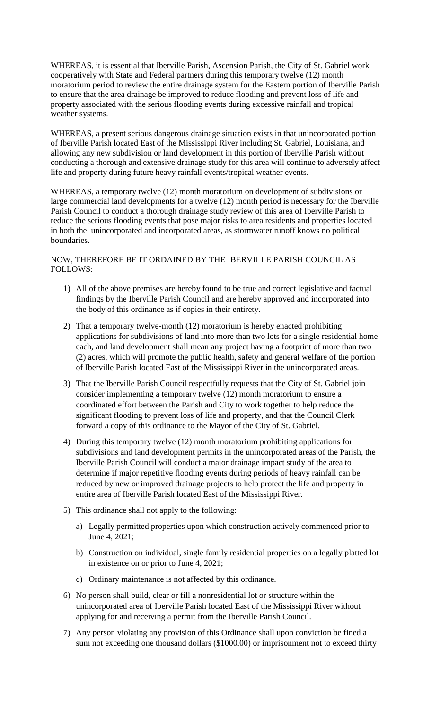WHEREAS, it is essential that Iberville Parish, Ascension Parish, the City of St. Gabriel work cooperatively with State and Federal partners during this temporary twelve (12) month moratorium period to review the entire drainage system for the Eastern portion of Iberville Parish to ensure that the area drainage be improved to reduce flooding and prevent loss of life and property associated with the serious flooding events during excessive rainfall and tropical weather systems.

WHEREAS, a present serious dangerous drainage situation exists in that unincorporated portion of Iberville Parish located East of the Mississippi River including St. Gabriel, Louisiana, and allowing any new subdivision or land development in this portion of Iberville Parish without conducting a thorough and extensive drainage study for this area will continue to adversely affect life and property during future heavy rainfall events/tropical weather events.

WHEREAS, a temporary twelve (12) month moratorium on development of subdivisions or large commercial land developments for a twelve (12) month period is necessary for the Iberville Parish Council to conduct a thorough drainage study review of this area of Iberville Parish to reduce the serious flooding events that pose major risks to area residents and properties located in both the unincorporated and incorporated areas, as stormwater runoff knows no political boundaries.

# NOW, THEREFORE BE IT ORDAINED BY THE IBERVILLE PARISH COUNCIL AS FOLLOWS:

- 1) All of the above premises are hereby found to be true and correct legislative and factual findings by the Iberville Parish Council and are hereby approved and incorporated into the body of this ordinance as if copies in their entirety.
- 2) That a temporary twelve-month (12) moratorium is hereby enacted prohibiting applications for subdivisions of land into more than two lots for a single residential home each, and land development shall mean any project having a footprint of more than two (2) acres, which will promote the public health, safety and general welfare of the portion of Iberville Parish located East of the Mississippi River in the unincorporated areas.
- 3) That the Iberville Parish Council respectfully requests that the City of St. Gabriel join consider implementing a temporary twelve (12) month moratorium to ensure a coordinated effort between the Parish and City to work together to help reduce the significant flooding to prevent loss of life and property, and that the Council Clerk forward a copy of this ordinance to the Mayor of the City of St. Gabriel.
- 4) During this temporary twelve (12) month moratorium prohibiting applications for subdivisions and land development permits in the unincorporated areas of the Parish, the Iberville Parish Council will conduct a major drainage impact study of the area to determine if major repetitive flooding events during periods of heavy rainfall can be reduced by new or improved drainage projects to help protect the life and property in entire area of Iberville Parish located East of the Mississippi River.
- 5) This ordinance shall not apply to the following:
	- a) Legally permitted properties upon which construction actively commenced prior to June 4, 2021;
	- b) Construction on individual, single family residential properties on a legally platted lot in existence on or prior to June 4, 2021;
	- c) Ordinary maintenance is not affected by this ordinance.
- 6) No person shall build, clear or fill a nonresidential lot or structure within the unincorporated area of Iberville Parish located East of the Mississippi River without applying for and receiving a permit from the Iberville Parish Council.
- 7) Any person violating any provision of this Ordinance shall upon conviction be fined a sum not exceeding one thousand dollars (\$1000.00) or imprisonment not to exceed thirty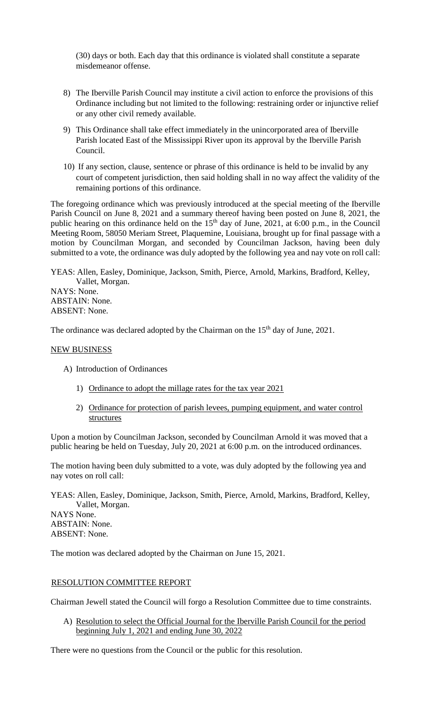(30) days or both. Each day that this ordinance is violated shall constitute a separate misdemeanor offense.

- 8) The Iberville Parish Council may institute a civil action to enforce the provisions of this Ordinance including but not limited to the following: restraining order or injunctive relief or any other civil remedy available.
- 9) This Ordinance shall take effect immediately in the unincorporated area of Iberville Parish located East of the Mississippi River upon its approval by the Iberville Parish Council.
- 10) If any section, clause, sentence or phrase of this ordinance is held to be invalid by any court of competent jurisdiction, then said holding shall in no way affect the validity of the remaining portions of this ordinance.

The foregoing ordinance which was previously introduced at the special meeting of the Iberville Parish Council on June 8, 2021 and a summary thereof having been posted on June 8, 2021, the public hearing on this ordinance held on the 15<sup>th</sup> day of June, 2021, at 6:00 p.m., in the Council Meeting Room, 58050 Meriam Street, Plaquemine, Louisiana, brought up for final passage with a motion by Councilman Morgan, and seconded by Councilman Jackson, having been duly submitted to a vote, the ordinance was duly adopted by the following yea and nay vote on roll call:

YEAS: Allen, Easley, Dominique, Jackson, Smith, Pierce, Arnold, Markins, Bradford, Kelley, Vallet, Morgan. NAYS: None. ABSTAIN: None. ABSENT: None.

The ordinance was declared adopted by the Chairman on the 15<sup>th</sup> day of June, 2021.

### NEW BUSINESS

- A) Introduction of Ordinances
	- 1) Ordinance to adopt the millage rates for the tax year 2021
	- 2) Ordinance for protection of parish levees, pumping equipment, and water control structures

Upon a motion by Councilman Jackson, seconded by Councilman Arnold it was moved that a public hearing be held on Tuesday, July 20, 2021 at 6:00 p.m. on the introduced ordinances.

The motion having been duly submitted to a vote, was duly adopted by the following yea and nay votes on roll call:

YEAS: Allen, Easley, Dominique, Jackson, Smith, Pierce, Arnold, Markins, Bradford, Kelley, Vallet, Morgan.

NAYS None. ABSTAIN: None. ABSENT: None.

The motion was declared adopted by the Chairman on June 15, 2021.

### RESOLUTION COMMITTEE REPORT

Chairman Jewell stated the Council will forgo a Resolution Committee due to time constraints.

A) Resolution to select the Official Journal for the Iberville Parish Council for the period beginning July 1, 2021 and ending June 30, 2022

There were no questions from the Council or the public for this resolution.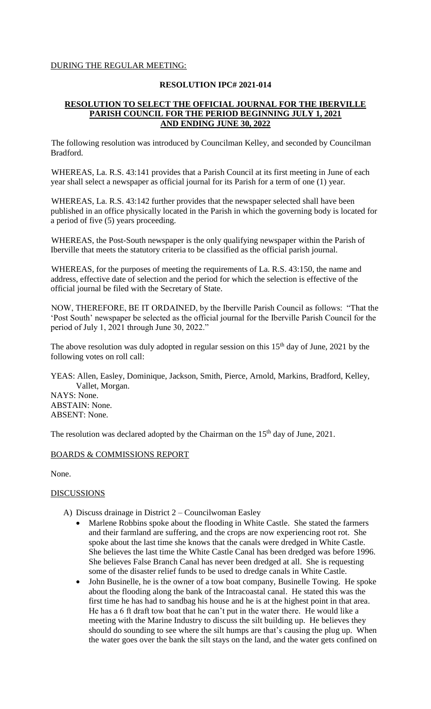## DURING THE REGULAR MEETING:

## **RESOLUTION IPC# 2021-014**

### **RESOLUTION TO SELECT THE OFFICIAL JOURNAL FOR THE IBERVILLE PARISH COUNCIL FOR THE PERIOD BEGINNING JULY 1, 2021 AND ENDING JUNE 30, 2022**

The following resolution was introduced by Councilman Kelley, and seconded by Councilman Bradford.

WHEREAS, La. R.S. 43:141 provides that a Parish Council at its first meeting in June of each year shall select a newspaper as official journal for its Parish for a term of one (1) year.

WHEREAS, La. R.S. 43:142 further provides that the newspaper selected shall have been published in an office physically located in the Parish in which the governing body is located for a period of five (5) years proceeding.

WHEREAS, the Post-South newspaper is the only qualifying newspaper within the Parish of Iberville that meets the statutory criteria to be classified as the official parish journal.

WHEREAS, for the purposes of meeting the requirements of La. R.S. 43:150, the name and address, effective date of selection and the period for which the selection is effective of the official journal be filed with the Secretary of State.

NOW, THEREFORE, BE IT ORDAINED, by the Iberville Parish Council as follows: "That the 'Post South' newspaper be selected as the official journal for the Iberville Parish Council for the period of July 1, 2021 through June 30, 2022."

The above resolution was duly adopted in regular session on this  $15<sup>th</sup>$  day of June, 2021 by the following votes on roll call:

YEAS: Allen, Easley, Dominique, Jackson, Smith, Pierce, Arnold, Markins, Bradford, Kelley, Vallet, Morgan.

NAYS: None. ABSTAIN: None. ABSENT: None.

The resolution was declared adopted by the Chairman on the 15<sup>th</sup> day of June, 2021.

### BOARDS & COMMISSIONS REPORT

None.

### **DISCUSSIONS**

- A) Discuss drainage in District 2 Councilwoman Easley
	- Marlene Robbins spoke about the flooding in White Castle. She stated the farmers and their farmland are suffering, and the crops are now experiencing root rot. She spoke about the last time she knows that the canals were dredged in White Castle. She believes the last time the White Castle Canal has been dredged was before 1996. She believes False Branch Canal has never been dredged at all. She is requesting some of the disaster relief funds to be used to dredge canals in White Castle.
	- John Businelle, he is the owner of a tow boat company, Businelle Towing. He spoke about the flooding along the bank of the Intracoastal canal. He stated this was the first time he has had to sandbag his house and he is at the highest point in that area. He has a 6 ft draft tow boat that he can't put in the water there. He would like a meeting with the Marine Industry to discuss the silt building up. He believes they should do sounding to see where the silt humps are that's causing the plug up. When the water goes over the bank the silt stays on the land, and the water gets confined on